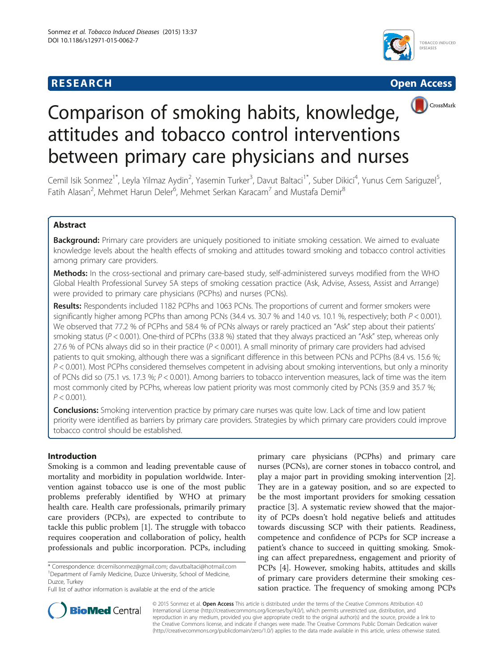





# Comparison of smoking habits, knowledge, attitudes and tobacco control interventions between primary care physicians and nurses

Cemil Isik Sonmez<sup>1\*</sup>, Leyla Yilmaz Aydin<sup>2</sup>, Yasemin Turker<sup>3</sup>, Davut Baltaci<sup>1\*</sup>, Suber Dikici<sup>4</sup>, Yunus Cem Sariguzel<sup>5</sup> , Fatih Alasan<sup>2</sup>, Mehmet Harun Deler<sup>6</sup>, Mehmet Serkan Karacam<sup>7</sup> and Mustafa Demir<sup>8</sup>

# Abstract

Background: Primary care providers are uniquely positioned to initiate smoking cessation. We aimed to evaluate knowledge levels about the health effects of smoking and attitudes toward smoking and tobacco control activities among primary care providers.

Methods: In the cross-sectional and primary care-based study, self-administered surveys modified from the WHO Global Health Professional Survey 5A steps of smoking cessation practice (Ask, Advise, Assess, Assist and Arrange) were provided to primary care physicians (PCPhs) and nurses (PCNs).

Results: Respondents included 1182 PCPhs and 1063 PCNs. The proportions of current and former smokers were significantly higher among PCPhs than among PCNs (34.4 vs. 30.7 % and 14.0 vs. 10.1 %, respectively; both  $P < 0.001$ ). We observed that 77.2 % of PCPhs and 58.4 % of PCNs always or rarely practiced an "Ask" step about their patients' smoking status ( $P < 0.001$ ). One-third of PCPhs (33.8 %) stated that they always practiced an "Ask" step, whereas only 27.6 % of PCNs always did so in their practice  $(P < 0.001)$ . A small minority of primary care providers had advised patients to quit smoking, although there was a significant difference in this between PCNs and PCPhs (8.4 vs. 15.6 %;  $P < 0.001$ ). Most PCPhs considered themselves competent in advising about smoking interventions, but only a minority of PCNs did so (75.1 vs. 17.3 %; P < 0.001). Among barriers to tobacco intervention measures, lack of time was the item most commonly cited by PCPhs, whereas low patient priority was most commonly cited by PCNs (35.9 and 35.7 %;  $P < 0.001$ ).

**Conclusions:** Smoking intervention practice by primary care nurses was quite low. Lack of time and low patient priority were identified as barriers by primary care providers. Strategies by which primary care providers could improve tobacco control should be established.

# Introduction

Smoking is a common and leading preventable cause of mortality and morbidity in population worldwide. Intervention against tobacco use is one of the most public problems preferably identified by WHO at primary health care. Health care professionals, primarily primary care providers (PCPs), are expected to contribute to tackle this public problem [\[1\]](#page-5-0). The struggle with tobacco requires cooperation and collaboration of policy, health professionals and public incorporation. PCPs, including

primary care physicians (PCPhs) and primary care nurses (PCNs), are corner stones in tobacco control, and play a major part in providing smoking intervention [\[2](#page-5-0)]. They are in a gateway position, and so are expected to be the most important providers for smoking cessation practice [\[3](#page-5-0)]. A systematic review showed that the majority of PCPs doesn't hold negative beliefs and attitudes towards discussing SCP with their patients. Readiness, competence and confidence of PCPs for SCP increase a patient's chance to succeed in quitting smoking. Smoking can affect preparedness, engagement and priority of PCPs [[4](#page-5-0)]. However, smoking habits, attitudes and skills of primary care providers determine their smoking cessation practice. The frequency of smoking among PCPs



© 2015 Sonmez et al. Open Access This article is distributed under the terms of the Creative Commons Attribution 4.0 International License [\(http://creativecommons.org/licenses/by/4.0/](http://creativecommons.org/licenses/by/4.0/)), which permits unrestricted use, distribution, and reproduction in any medium, provided you give appropriate credit to the original author(s) and the source, provide a link to the Creative Commons license, and indicate if changes were made. The Creative Commons Public Domain Dedication waiver [\(http://creativecommons.org/publicdomain/zero/1.0/](http://creativecommons.org/publicdomain/zero/1.0/)) applies to the data made available in this article, unless otherwise stated.

<sup>\*</sup> Correspondence: [drcemilsonmez@gmail.com;](mailto:drcemilsonmez@gmail.com) [davutbaltaci@hotmail.com](mailto:davutbaltaci@hotmail.com) <sup>1</sup> <sup>1</sup>Department of Family Medicine, Duzce University, School of Medicine, Duzce, Turkey

Full list of author information is available at the end of the article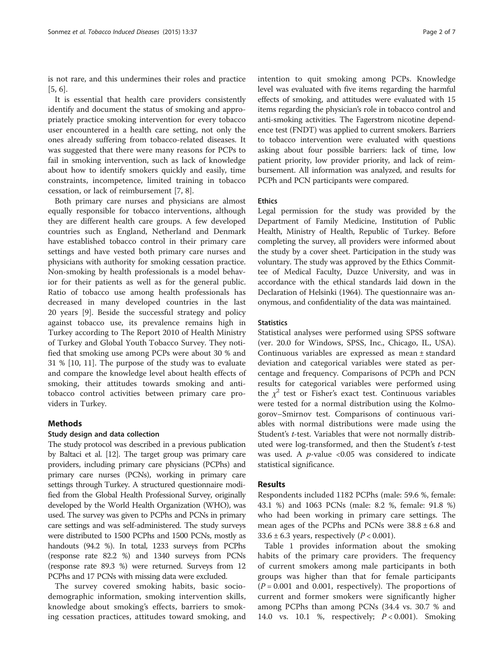is not rare, and this undermines their roles and practice [[5, 6\]](#page-5-0).

It is essential that health care providers consistently identify and document the status of smoking and appropriately practice smoking intervention for every tobacco user encountered in a health care setting, not only the ones already suffering from tobacco-related diseases. It was suggested that there were many reasons for PCPs to fail in smoking intervention, such as lack of knowledge about how to identify smokers quickly and easily, time constraints, incompetence, limited training in tobacco cessation, or lack of reimbursement [\[7,](#page-5-0) [8\]](#page-6-0).

Both primary care nurses and physicians are almost equally responsible for tobacco interventions, although they are different health care groups. A few developed countries such as England, Netherland and Denmark have established tobacco control in their primary care settings and have vested both primary care nurses and physicians with authority for smoking cessation practice. Non-smoking by health professionals is a model behavior for their patients as well as for the general public. Ratio of tobacco use among health professionals has decreased in many developed countries in the last 20 years [\[9](#page-6-0)]. Beside the successful strategy and policy against tobacco use, its prevalence remains high in Turkey according to The Report 2010 of Health Ministry of Turkey and Global Youth Tobacco Survey. They notified that smoking use among PCPs were about 30 % and 31 % [[10](#page-6-0), [11\]](#page-6-0). The purpose of the study was to evaluate and compare the knowledge level about health effects of smoking, their attitudes towards smoking and antitobacco control activities between primary care providers in Turkey.

#### Methods

#### Study design and data collection

The study protocol was described in a previous publication by Baltaci et al. [[12](#page-6-0)]. The target group was primary care providers, including primary care physicians (PCPhs) and primary care nurses (PCNs), working in primary care settings through Turkey. A structured questionnaire modified from the Global Health Professional Survey, originally developed by the World Health Organization (WHO), was used. The survey was given to PCPhs and PCNs in primary care settings and was self-administered. The study surveys were distributed to 1500 PCPhs and 1500 PCNs, mostly as handouts (94.2 %). In total, 1233 surveys from PCPhs (response rate 82.2 %) and 1340 surveys from PCNs (response rate 89.3 %) were returned. Surveys from 12 PCPhs and 17 PCNs with missing data were excluded.

The survey covered smoking habits, basic sociodemographic information, smoking intervention skills, knowledge about smoking's effects, barriers to smoking cessation practices, attitudes toward smoking, and intention to quit smoking among PCPs. Knowledge level was evaluated with five items regarding the harmful effects of smoking, and attitudes were evaluated with 15 items regarding the physician's role in tobacco control and anti-smoking activities. The Fagerstrom nicotine dependence test (FNDT) was applied to current smokers. Barriers to tobacco intervention were evaluated with questions asking about four possible barriers: lack of time, low patient priority, low provider priority, and lack of reimbursement. All information was analyzed, and results for PCPh and PCN participants were compared.

#### Ethics

Legal permission for the study was provided by the Department of Family Medicine, Institution of Public Health, Ministry of Health, Republic of Turkey. Before completing the survey, all providers were informed about the study by a cover sheet. Participation in the study was voluntary. The study was approved by the Ethics Committee of Medical Faculty, Duzce University, and was in accordance with the ethical standards laid down in the Declaration of Helsinki (1964). The questionnaire was anonymous, and confidentiality of the data was maintained.

#### **Statistics**

Statistical analyses were performed using SPSS software (ver. 20.0 for Windows, SPSS, Inc., Chicago, IL, USA). Continuous variables are expressed as mean ± standard deviation and categorical variables were stated as percentage and frequency. Comparisons of PCPh and PCN results for categorical variables were performed using the  $\chi^2$  test or Fisher's exact test. Continuous variables were tested for a normal distribution using the Kolmogorov–Smirnov test. Comparisons of continuous variables with normal distributions were made using the Student's t-test. Variables that were not normally distributed were log-transformed, and then the Student's t-test was used. A  $p$ -value <0.05 was considered to indicate statistical significance.

#### Results

Respondents included 1182 PCPhs (male: 59.6 %, female: 43.1 %) and 1063 PCNs (male: 8.2 %, female: 91.8 %) who had been working in primary care settings. The mean ages of the PCPhs and PCNs were  $38.8 \pm 6.8$  and 33.6  $\pm$  6.3 years, respectively (*P* < 0.001).

Table [1](#page-2-0) provides information about the smoking habits of the primary care providers. The frequency of current smokers among male participants in both groups was higher than that for female participants  $(P = 0.001$  and 0.001, respectively). The proportions of current and former smokers were significantly higher among PCPhs than among PCNs (34.4 vs. 30.7 % and 14.0 vs. 10.1 %, respectively; P < 0.001). Smoking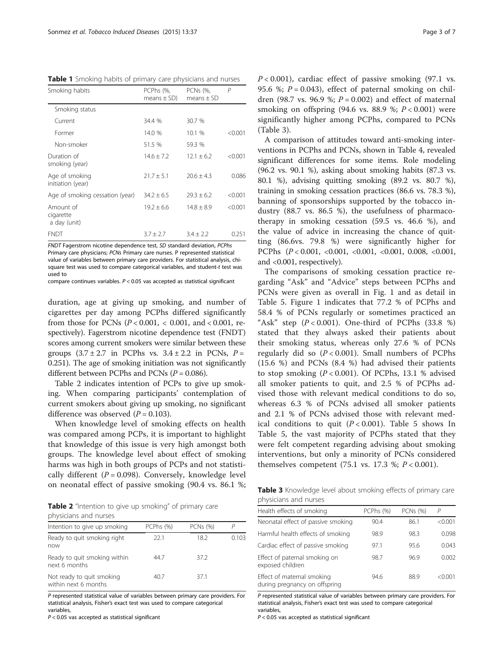<span id="page-2-0"></span>Table 1 Smoking habits of primary care physicians and nurses

| Smoking habits                         | PCPhs (%,<br>means $\pm$ SD) | PCNs (%,<br>$means + SD$ | P       |
|----------------------------------------|------------------------------|--------------------------|---------|
| Smoking status                         |                              |                          |         |
| Current                                | 34.4 %                       | 30.7 %                   |         |
| Former                                 | 14.0 %                       | 10.1 %                   | < 0.001 |
| Non-smoker                             | 51.5 %                       | 59.3 %                   |         |
| Duration of<br>smoking (year)          | $14.6 + 7.2$                 | $12.1 + 6.2$             | < 0.001 |
| Age of smoking<br>initiation (year)    | $21.7 \pm 5.1$               | $20.6 + 4.3$             | 0.086   |
| Age of smoking cessation (year)        | $34.2 + 6.5$                 | $79.3 + 6.2$             | < 0.001 |
| Amount of<br>cigarette<br>a day (unit) | $19.2 + 6.6$                 | $14.8 \pm 8.9$           | < 0.001 |
| <b>FNDT</b>                            | $3.7 \pm 2.7$                | $3.4 \pm 2.2$            | 0.251   |

FNDT Fagerstrom nicotine dependence test, SD standard deviation, PCPhs Primary care physicians; PCNs Primary care nurses. P represented statistical value of variables between primary care providers. For statistical analysis, chisquare test was used to compare categorical variables, and student-t test was used to

compare continues variables. P < 0.05 vas accepted as statistical significant

duration, age at giving up smoking, and number of cigarettes per day among PCPhs differed significantly from those for PCNs ( $P < 0.001$ ,  $< 0.001$ , and  $< 0.001$ , respectively). Fagerstrom nicotine dependence test (FNDT) scores among current smokers were similar between these groups  $(3.7 \pm 2.7)$  in PCPhs vs.  $3.4 \pm 2.2$  in PCNs,  $P =$ 0.251). The age of smoking initiation was not significantly different between PCPhs and PCNs  $(P = 0.086)$ .

Table 2 indicates intention of PCPs to give up smoking. When comparing participants' contemplation of current smokers about giving up smoking, no significant difference was observed  $(P = 0.103)$ .

When knowledge level of smoking effects on health was compared among PCPs, it is important to highlight that knowledge of this issue is very high amongst both groups. The knowledge level about effect of smoking harms was high in both groups of PCPs and not statistically different ( $P = 0.098$ ). Conversely, knowledge level on neonatal effect of passive smoking (90.4 vs. 86.1 %;

Table 2 "Intention to give up smoking" of primary care physicians and nurses

| Intention to give up smoking                      | PCPhs (%) | <b>PCNs (%)</b> |       |
|---------------------------------------------------|-----------|-----------------|-------|
| Ready to quit smoking right<br>now                | 22.1      | 18.2            | 0.103 |
| Ready to quit smoking within<br>next 6 months     | 44.7      | 37.2            |       |
| Not ready to quit smoking<br>within next 6 months | 40.7      | 37.1            |       |

P represented statistical value of variables between primary care providers. For statistical analysis, Fisher's exact test was used to compare categorical variables,

 $P < 0.05$  vas accepted as statistical significant

 $P < 0.001$ ), cardiac effect of passive smoking (97.1 vs. 95.6 %;  $P = 0.043$ ), effect of paternal smoking on children (98.7 vs. 96.9 %;  $P = 0.002$ ) and effect of maternal smoking on offspring (94.6 vs. 88.9 %;  $P < 0.001$ ) were significantly higher among PCPhs, compared to PCNs (Table 3).

A comparison of attitudes toward anti-smoking interventions in PCPhs and PCNs, shown in Table [4,](#page-3-0) revealed significant differences for some items. Role modeling (96.2 vs. 90.1 %), asking about smoking habits (87.3 vs. 80.1 %), advising quitting smoking (89.2 vs. 80.7 %), training in smoking cessation practices (86.6 vs. 78.3 %), banning of sponsorships supported by the tobacco industry (88.7 vs. 86.5 %), the usefulness of pharmacotherapy in smoking cessation (59.5 vs. 46.6 %), and the value of advice in increasing the chance of quitting (86.6vs. 79.8 %) were significantly higher for PCPhs (P < 0.001, <0.001, <0.001, <0.001, 0.008, <0.001, and <0.001, respectively).

The comparisons of smoking cessation practice regarding "Ask" and "Advice" steps between PCPhs and PCNs were given as overall in Fig. [1](#page-4-0) and as detail in Table [5.](#page-4-0) Figure [1](#page-4-0) indicates that 77.2 % of PCPhs and 58.4 % of PCNs regularly or sometimes practiced an "Ask" step  $(P < 0.001)$ . One-third of PCPhs  $(33.8 \%)$ stated that they always asked their patients about their smoking status, whereas only 27.6 % of PCNs regularly did so  $(P < 0.001)$ . Small numbers of PCPhs (15.6 %) and PCNs (8.4 %) had advised their patients to stop smoking  $(P < 0.001)$ . Of PCPhs, 13.1 % advised all smoker patients to quit, and 2.5 % of PCPhs advised those with relevant medical conditions to do so, whereas 6.3 % of PCNs advised all smoker patients and 2.1 % of PCNs advised those with relevant medical conditions to quit  $(P < 0.001)$ . Table [5](#page-4-0) shows In Table [5](#page-4-0), the vast majority of PCPhs stated that they were felt competent regarding advising about smoking interventions, but only a minority of PCNs considered themselves competent (75.1 vs. 17.3 %;  $P < 0.001$ ).

Table 3 Knowledge level about smoking effects of primary care physicians and nurses

| Health effects of smoking                                   | PCPhs (%) | PCNs (%) | $\overline{P}$ |
|-------------------------------------------------------------|-----------|----------|----------------|
| Neonatal effect of passive smoking                          | 90.4      | 86.1     | < 0.001        |
| Harmful health effects of smoking                           | 98.9      | 98.3     | 0.098          |
| Cardiac effect of passive smoking                           | 97.1      | 95.6     | 0.043          |
| Effect of paternal smoking on<br>exposed children           | 98.7      | 96.9     | 0.002          |
| Effect of maternal smoking<br>during pregnancy on offspring | 94.6      | 88.9     | < 0.001        |

P represented statistical value of variables between primary care providers. For statistical analysis, Fisher's exact test was used to compare categorical variables,

 $P < 0.05$  vas accepted as statistical significant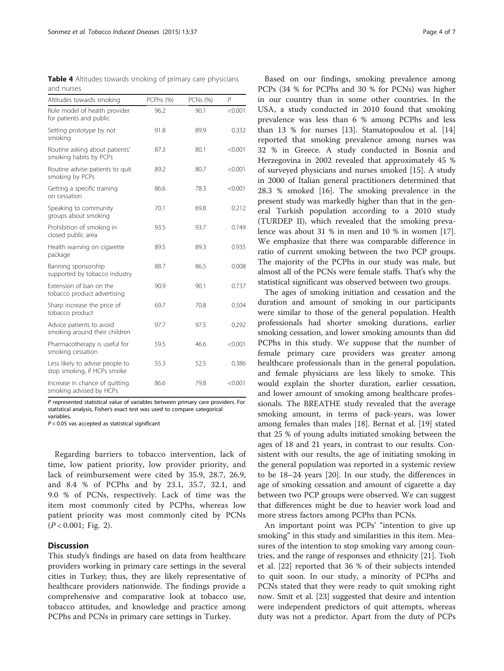<span id="page-3-0"></span>

| <b>Table 4</b> Altitudes towards smoking of primary care physicians |  |  |  |
|---------------------------------------------------------------------|--|--|--|
| and nurses                                                          |  |  |  |

| Altitudes towards smoking                                      | PCPhs (%) | PCNs (%) | P       |
|----------------------------------------------------------------|-----------|----------|---------|
| Role model of health provider<br>for patients and public       | 96.2      | 90.1     | < 0.001 |
| Setting prototype by not<br>smoking                            | 91.8      | 89.9     | 0.332   |
| Routine asking about patients'<br>smoking habits by PCPs       | 87.3      | 80.1     | < 0.001 |
| Routine advise patients to quit<br>smoking by PCPs             | 89.2      | 80.7     | < 0.001 |
| Getting a specific training<br>on cessation                    | 86.6      | 78.3     | < 0.001 |
| Speaking to community<br>groups about smoking                  | 70.1      | 69.8     | 0.212   |
| Prohibition of smoking in<br>closed public area                | 93.5      | 93.7     | 0.749   |
| Health warning on cigarette<br>package                         | 89.5      | 89.3     | 0.935   |
| Banning sponsorship<br>supported by tobacco industry           | 88.7      | 86.5     | 0.008   |
| Extension of ban on the<br>tobacco product advertising         | 90.9      | 90.1     | 0.737   |
| Sharp increase the price of<br>tobacco product                 | 69.7      | 70.8     | 0.504   |
| Advice patients to avoid<br>smoking around their children      | 97.7      | 97.5     | 0.292   |
| Pharmacotherapy is useful for<br>smoking cessation             | 59.5      | 46.6     | < 0.001 |
| Less likely to advise people to<br>stop smoking, if HCPs smoke | 55.3      | 52.5     | 0.386   |
| Increase in chance of quitting<br>smoking advised by HCPs      | 86.6      | 79.8     | < 0.001 |

P represented statistical value of variables between primary care providers. For statistical analysis, Fisher's exact test was used to compare categorical variables,

 $P < 0.05$  vas accepted as statistical significant

Regarding barriers to tobacco intervention, lack of time, low patient priority, low provider priority, and lack of reimbursement were cited by 35.9, 28.7, 26.9, and 8.4 % of PCPhs and by 23.1, 35.7, 32.1, and 9.0 % of PCNs, respectively. Lack of time was the item most commonly cited by PCPhs, whereas low patient priority was most commonly cited by PCNs  $(P < 0.001$ ; Fig. [2](#page-5-0)).

#### **Discussion**

This study's findings are based on data from healthcare providers working in primary care settings in the several cities in Turkey; thus, they are likely representative of healthcare providers nationwide. The findings provide a comprehensive and comparative look at tobacco use, tobacco attitudes, and knowledge and practice among PCPhs and PCNs in primary care settings in Turkey.

Based on our findings, smoking prevalence among PCPs (34 % for PCPhs and 30 % for PCNs) was higher in our country than in some other countries. In the USA, a study conducted in 2010 found that smoking prevalence was less than 6 % among PCPhs and less than 13 % for nurses [\[13](#page-6-0)]. Stamatopoulou et al. [[14](#page-6-0)] reported that smoking prevalence among nurses was 32 % in Greece. A study conducted in Bosnia and Herzegovina in 2002 revealed that approximately 45 % of surveyed physicians and nurses smoked [[15](#page-6-0)]. A study in 2000 of Italian general practitioners determined that 28.3 % smoked [\[16\]](#page-6-0). The smoking prevalence in the present study was markedly higher than that in the general Turkish population according to a 2010 study (TURDEP II), which revealed that the smoking prevalence was about 31 % in men and 10 % in women [\[17](#page-6-0)]. We emphasize that there was comparable difference in ratio of current smoking between the two PCP groups. The majority of the PCPhs in our study was male, but almost all of the PCNs were female staffs. That's why the statistical significant was observed between two groups.

The ages of smoking initiation and cessation and the duration and amount of smoking in our participants were similar to those of the general population. Health professionals had shorter smoking durations, earlier smoking cessation, and lower smoking amounts than did PCPhs in this study. We suppose that the number of female primary care providers was greater among healthcare professionals than in the general population, and female physicians are less likely to smoke. This would explain the shorter duration, earlier cessation, and lower amount of smoking among healthcare professionals. The BREATHE study revealed that the average smoking amount, in terms of pack-years, was lower among females than males [\[18\]](#page-6-0). Bernat et al. [[19\]](#page-6-0) stated that 25 % of young adults initiated smoking between the ages of 18 and 21 years, in contrast to our results. Consistent with our results, the age of initiating smoking in the general population was reported in a systemic review to be 18–24 years [[20\]](#page-6-0). In our study, the differences in age of smoking cessation and amount of cigarette a day between two PCP groups were observed. We can suggest that differences might be due to heavier work load and more stress factors among PCPhs than PCNs.

An important point was PCPs' "intention to give up smoking" in this study and similarities in this item. Measures of the intention to stop smoking vary among countries, and the range of responses and ethnicity [\[21](#page-6-0)]. Tsoh et al. [\[22\]](#page-6-0) reported that 36 % of their subjects intended to quit soon. In our study, a minority of PCPhs and PCNs stated that they were ready to quit smoking right now. Smit et al. [[23](#page-6-0)] suggested that desire and intention were independent predictors of quit attempts, whereas duty was not a predictor. Apart from the duty of PCPs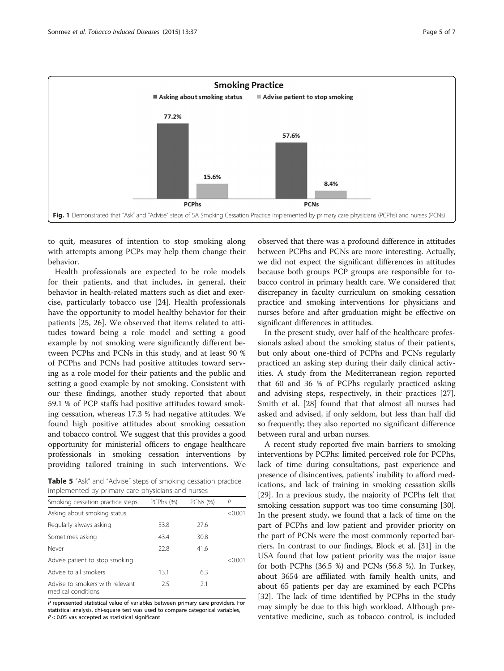<span id="page-4-0"></span>

to quit, measures of intention to stop smoking along with attempts among PCPs may help them change their behavior.

Health professionals are expected to be role models for their patients, and that includes, in general, their behavior in health-related matters such as diet and exercise, particularly tobacco use [\[24](#page-6-0)]. Health professionals have the opportunity to model healthy behavior for their patients [\[25](#page-6-0), [26](#page-6-0)]. We observed that items related to attitudes toward being a role model and setting a good example by not smoking were significantly different between PCPhs and PCNs in this study, and at least 90 % of PCPhs and PCNs had positive attitudes toward serving as a role model for their patients and the public and setting a good example by not smoking. Consistent with our these findings, another study reported that about 59.1 % of PCP staffs had positive attitudes toward smoking cessation, whereas 17.3 % had negative attitudes. We found high positive attitudes about smoking cessation and tobacco control. We suggest that this provides a good opportunity for ministerial officers to engage healthcare professionals in smoking cessation interventions by providing tailored training in such interventions. We

Table 5 "Ask" and "Advise" steps of smoking cessation practice implemented by primary care physicians and nurses

| Smoking cessation practice steps                      | PCPhs (%) | <b>PCNs</b> (%) | $\mathcal{P}$ |
|-------------------------------------------------------|-----------|-----------------|---------------|
| Asking about smoking status                           |           |                 | 0001          |
| Regularly always asking                               | 33.8      | 27.6            |               |
| Sometimes asking                                      | 43.4      | 30.8            |               |
| Never                                                 | 228       | 41.6            |               |
| Advise patient to stop smoking                        |           |                 | < 0.001       |
| Advise to all smokers                                 | 13.1      | 6.3             |               |
| Advise to smokers with relevant<br>medical conditions | 25        | 21              |               |

P represented statistical value of variables between primary care providers. For statistical analysis, chi-square test was used to compare categorical variables,  $P < 0.05$  vas accepted as statistical significant

observed that there was a profound difference in attitudes between PCPhs and PCNs are more interesting. Actually, we did not expect the significant differences in attitudes because both groups PCP groups are responsible for tobacco control in primary health care. We considered that discrepancy in faculty curriculum on smoking cessation practice and smoking interventions for physicians and nurses before and after graduation might be effective on significant differences in attitudes.

In the present study, over half of the healthcare professionals asked about the smoking status of their patients, but only about one-third of PCPhs and PCNs regularly practiced an asking step during their daily clinical activities. A study from the Mediterranean region reported that 60 and 36 % of PCPhs regularly practiced asking and advising steps, respectively, in their practices [\[27](#page-6-0)]. Smith et al. [[28](#page-6-0)] found that that almost all nurses had asked and advised, if only seldom, but less than half did so frequently; they also reported no significant difference between rural and urban nurses.

A recent study reported five main barriers to smoking interventions by PCPhs: limited perceived role for PCPhs, lack of time during consultations, past experience and presence of disincentives, patients' inability to afford medications, and lack of training in smoking cessation skills [[29](#page-6-0)]. In a previous study, the majority of PCPhs felt that smoking cessation support was too time consuming [[30](#page-6-0)]. In the present study, we found that a lack of time on the part of PCPhs and low patient and provider priority on the part of PCNs were the most commonly reported barriers. In contrast to our findings, Block et al. [[31](#page-6-0)] in the USA found that low patient priority was the major issue for both PCPhs (36.5 %) and PCNs (56.8 %). In Turkey, about 3654 are affiliated with family health units, and about 65 patients per day are examined by each PCPhs [[32](#page-6-0)]. The lack of time identified by PCPhs in the study may simply be due to this high workload. Although preventative medicine, such as tobacco control, is included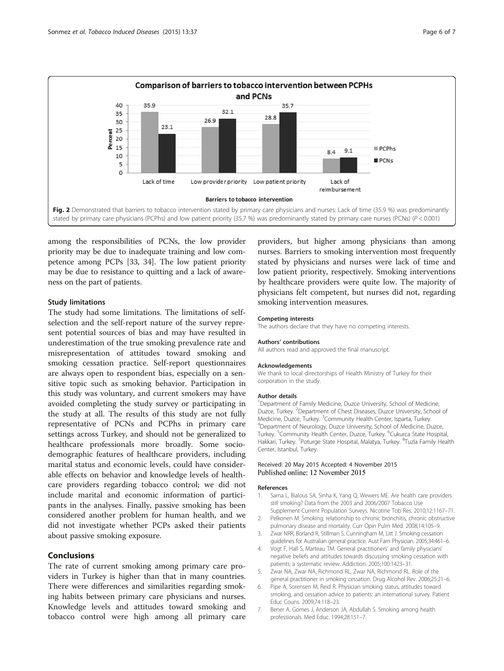<span id="page-5-0"></span>

among the responsibilities of PCNs, the low provider priority may be due to inadequate training and low competence among PCPs [\[33, 34](#page-6-0)]. The low patient priority may be due to resistance to quitting and a lack of awareness on the part of patients.

#### Study limitations

The study had some limitations. The limitations of selfselection and the self-report nature of the survey represent potential sources of bias and may have resulted in underestimation of the true smoking prevalence rate and misrepresentation of attitudes toward smoking and smoking cessation practice. Self-report questionnaires are always open to respondent bias, especially on a sensitive topic such as smoking behavior. Participation in this study was voluntary, and current smokers may have avoided completing the study survey or participating in the study at all. The results of this study are not fully representative of PCNs and PCPhs in primary care settings across Turkey, and should not be generalized to healthcare professionals more broadly. Some sociodemographic features of healthcare providers, including marital status and economic levels, could have considerable effects on behavior and knowledge levels of healthcare providers regarding tobacco control; we did not include marital and economic information of participants in the analyses. Finally, passive smoking has been considered another problem for human health, and we did not investigate whether PCPs asked their patients about passive smoking exposure.

## Conclusions

The rate of current smoking among primary care providers in Turkey is higher than that in many countries. There were differences and similarities regarding smoking habits between primary care physicians and nurses. Knowledge levels and attitudes toward smoking and tobacco control were high among all primary care

providers, but higher among physicians than among nurses. Barriers to smoking intervention most frequently stated by physicians and nurses were lack of time and low patient priority, respectively. Smoking interventions by healthcare providers were quite low. The majority of physicians felt competent, but nurses did not, regarding smoking intervention measures.

#### Competing interests

The authors declare that they have no competing interests.

#### Authors' contributions

All authors read and approved the final manuscript.

#### Acknowledgements

We thank to local directorships of Health Ministry of Turkey for their corporation in the study.

#### Author details

<sup>1</sup> Department of Family Medicine, Duzce University, School of Medicine, Duzce, Turkey. <sup>2</sup>Department of Chest Diseases, Duzce University, School of Medicine, Duzce, Turkey. <sup>3</sup>Community Health Center, Isparta, Turkey.<br><sup>4</sup>Department of Neurology, Duzce University, School of Medicine, D. <sup>4</sup>Department of Neurology, Duzce University, School of Medicine, Duzce, Turkey. <sup>5</sup>Community Health Center, Duzce, Turkey. <sup>6</sup>Cukurca State Hospital, Hakkari, Turkey. <sup>7</sup>Poturge State Hospital, Malatya, Turkey. <sup>8</sup>Tuzla Family Health Center, Istanbul, Turkey.

#### Received: 20 May 2015 Accepted: 4 November 2015 Published online: 12 November 2015

#### References

- Sarna L, Bialous SA, Sinha K, Yang Q, Wewers ME. Are health care providers still smoking? Data from the 2003 and 2006/2007 Tobacco Use Supplement-Current Population Surveys. Nicotine Tob Res. 2010;12:1167–71.
- 2. Pelkonen M. Smoking: relationship to chronic bronchitis, chronic obstructive pulmonary disease and mortality. Curr Opin Pulm Med. 2008;14:105–9.
- 3. Zwar NRR, Borland R, Stillman S, Cunningham M, Litt J. Smoking cessation guidelines for Australian general practice. Aust Fam Physician. 2005;34:461–6.
- 4. Vogt F, Hall S, Marteau TM. General practitioners' and family physicians' negative beliefs and attitudes towards discussing smoking cessation with patients: a systematic review. Addiction. 2005;100:1423–31.
- 5. Zwar NA, Zwar NA, Richmond RL, Zwar NA, Richmond RL. Role of the general practitioner in smoking cessation. Drug Alcohol Rev. 2006;25:21–6.
- 6. Pipe A, Sorensen M, Reid R. Physician smoking status, attitudes toward smoking, and cessation advice to patients: an international survey. Patient Educ Couns. 2009;74:118–23.
- 7. Bener A, Gomes J, Anderson JA, Abdullah S. Smoking among health professionals. Med Educ. 1994;28:151–7.